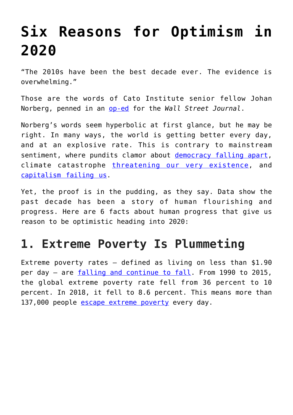# **[Six Reasons for Optimism in](https://intellectualtakeout.org/2019/12/six-reasons-for-optimism-in-2020/) [2020](https://intellectualtakeout.org/2019/12/six-reasons-for-optimism-in-2020/)**

"The 2010s have been the best decade ever. The evidence is overwhelming."

Those are the words of Cato Institute senior fellow Johan Norberg, penned in an [op-ed](https://www.wsj.com/articles/the-2010s-have-been-amazing-11576540377) for the *Wall Street Journal*.

Norberg's words seem hyperbolic at first glance, but he may be right. In many ways, the world is getting better every day, and at an explosive rate. This is contrary to mainstream sentiment, where pundits clamor about [democracy falling apart,](https://www.theguardian.com/commentisfree/2018/aug/07/american-democracy-crisis-trump-supreme-court) climate catastrophe [threatening our very existence,](https://www.vice.com/en_us/article/597kpd/new-report-suggests-high-likelihood-of-human-civilization-coming-to-an-end-in-2050) and [capitalism failing us](https://www.theguardian.com/commentisfree/2019/apr/24/capitalism-is-failing-workers-people-want-a-job-with-a-decent-wage-why-is-that-so-hard).

Yet, the proof is in the pudding, as they say. Data show the past decade has been a story of human flourishing and progress. Here are 6 facts about human progress that give us reason to be optimistic heading into 2020:

#### **1. Extreme Poverty Is Plummeting**

Extreme poverty rates – defined as living on less than \$1.90 per day – are [falling and continue to fall](https://www.worldbank.org/en/news/press-release/2018/09/19/decline-of-global-extreme-poverty-continues-but-has-slowed-world-bank). From 1990 to 2015, the global extreme poverty rate fell from 36 percent to 10 percent. In 2018, it fell to 8.6 percent. This means more than 137,000 people [escape extreme poverty](https://www.cnbc.com/2018/06/28/bill-gates-facts-and-statistics-everyone-should-know.html) every day.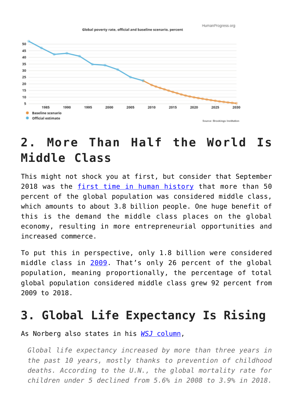HumanProgress.org

Global poverty rate, official and baseline scenario, percent



### **2. More Than Half the World Is Middle Class**

This might not shock you at first, but consider that September 2018 was the [first time in human history](https://www.brookings.edu/blog/future-development/2018/09/27/a-global-tipping-point-half-the-world-is-now-middle-class-or-wealthier/) that more than 50 percent of the global population was considered middle class, which amounts to about 3.8 billion people. One huge benefit of this is the demand the middle class places on the global economy, resulting in more entrepreneurial opportunities and increased commerce.

To put this in perspective, only 1.8 billion were considered middle class in [2009](http://oecdobserver.org/news/fullstory.php/aid/3681/An_emerging_middle_class.html). That's only 26 percent of the global population, meaning proportionally, the percentage of total global population considered middle class grew 92 percent from 2009 to 2018.

#### **3. Global Life Expectancy Is Rising**

As Norberg also states in his *[WSJ](https://www.wsj.com/articles/the-2010s-have-been-amazing-11576540377)* [column,](https://www.wsj.com/articles/the-2010s-have-been-amazing-11576540377)

*Global life expectancy increased by more than three years in the past 10 years, mostly thanks to prevention of childhood deaths. According to the U.N., the global mortality rate for children under 5 declined from 5.6% in 2008 to 3.9% in 2018.*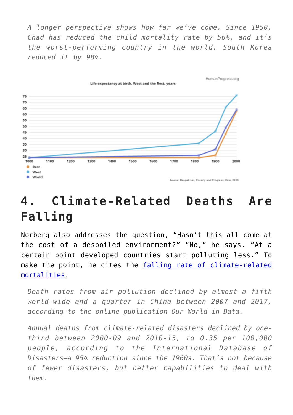*A longer perspective shows how far we've come. Since 1950, Chad has reduced the child mortality rate by 56%, and it's the worst-performing country in the world. South Korea reduced it by 98%.*



# **4. Climate-Related Deaths Are Falling**

Norberg also addresses the question, "Hasn't this all come at the cost of a despoiled environment?" "No," he says. "At a certain point developed countries start polluting less." To make the point, he cites the [falling rate of climate-related](https://fee.org/articles/climate-related-deaths-are-at-historic-lows-data-show/) [mortalities.](https://fee.org/articles/climate-related-deaths-are-at-historic-lows-data-show/)

*Death rates from air pollution declined by almost a fifth world-wide and a quarter in China between 2007 and 2017, according to the online publication Our World in Data.*

*Annual deaths from climate-related disasters declined by onethird between 2000-09 and 2010-15, to 0.35 per 100,000 people, according to the International Database of Disasters—a 95% reduction since the 1960s. That's not because of fewer disasters, but better capabilities to deal with them.*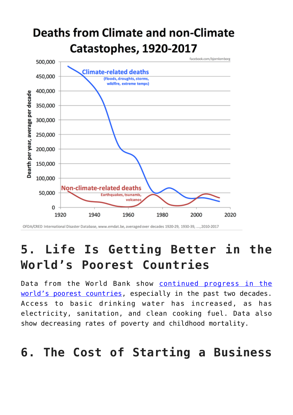# **Deaths from Climate and non-Climate Catastophes, 1920-2017**



OFDA/CRED International Disaster Database, www.emdat.be, averaged over decades 1920-29, 1930-39, ..., 2010-2017

## **5. Life Is Getting Better in the World's Poorest Countries**

Data from the World Bank show [continued progress in the](https://blogs.worldbank.org/opendata/chart-two-decades-progress-worlds-poorest-countries) [world's poorest countries,](https://blogs.worldbank.org/opendata/chart-two-decades-progress-worlds-poorest-countries) especially in the past two decades. Access to basic drinking water has increased, as has electricity, sanitation, and clean cooking fuel. Data also show decreasing rates of poverty and childhood mortality.

#### **6. The Cost of Starting a Business**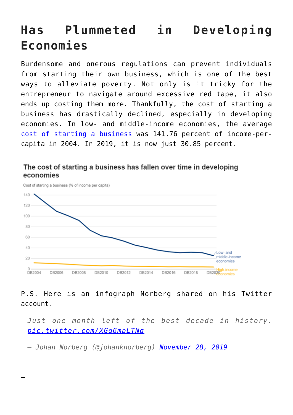# **Has Plummeted in Developing Economies**

Burdensome and onerous regulations can prevent individuals from starting their own business, which is one of the best ways to alleviate poverty. Not only is it tricky for the entrepreneur to navigate around excessive red tape, it also ends up costing them more. Thankfully, the cost of starting a business has drastically declined, especially in developing economies. In low- and middle-income economies, the average [cost of starting a business](https://www.worldbank.org/en/news/feature/2019/10/24/doing-business-2020-sustaining-the-pace-of-reforms) was 141.76 percent of income-percapita in 2004. In 2019, it is now just 30.85 percent.

#### The cost of starting a business has fallen over time in developing economies



P.S. Here is an infograph Norberg shared on his Twitter account.

*Just one month left of the best decade in history. [pic.twitter.com/XGg6mpLTNq](https://t.co/XGg6mpLTNq)*

*— Johan Norberg (@johanknorberg) [November 28, 2019](https://twitter.com/johanknorberg/status/1200153324609249281?ref_src=twsrc%5Etfw)*

—